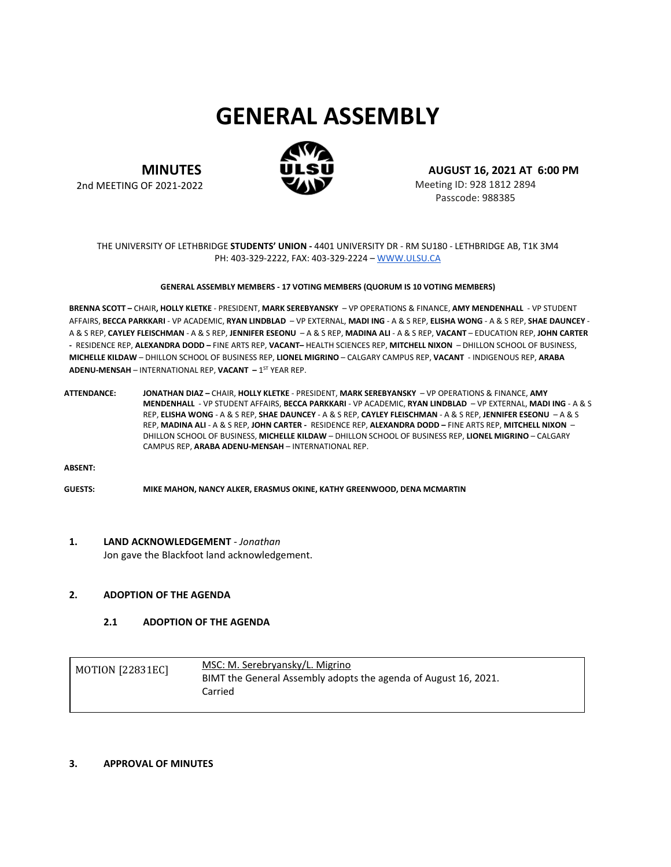# **GENERAL ASSEMBLY**



**MINUTES**

2nd MEETING OF 2021-2022

**AUGUST 16, 2021 AT 6:00 PM**

Meeting ID: 928 1812 2894 Passcode: 988385

#### THE UNIVERSITY OF LETHBRIDGE **STUDENTS' UNION -** 4401 UNIVERSITY DR - RM SU180 - LETHBRIDGE AB, T1K 3M4 PH: 403-329-2222, FAX: 403-329-2224 – [WWW.ULSU.CA](http://www.ulsu.ca/)

#### **GENERAL ASSEMBLY MEMBERS - 17 VOTING MEMBERS (QUORUM IS 10 VOTING MEMBERS)**

**BRENNA SCOTT –** CHAIR**, HOLLY KLETKE** - PRESIDENT, **MARK SEREBYANSKY** – VP OPERATIONS & FINANCE, **AMY MENDENHALL** - VP STUDENT AFFAIRS, **BECCA PARKKARI** - VP ACADEMIC, **RYAN LINDBLAD** – VP EXTERNAL, **MADI ING** - A & S REP, **ELISHA WONG** - A & S REP, **SHAE DAUNCEY** - A & S REP, **CAYLEY FLEISCHMAN** - A & S REP, **JENNIFER ESEONU** – A & S REP, **MADINA ALI** - A & S REP, **VACANT** – EDUCATION REP, **JOHN CARTER -** RESIDENCE REP, **ALEXANDRA DODD –** FINE ARTS REP, **VACANT–** HEALTH SCIENCES REP, **MITCHELL NIXON** – DHILLON SCHOOL OF BUSINESS, **MICHELLE KILDAW** – DHILLON SCHOOL OF BUSINESS REP, **LIONEL MIGRINO** – CALGARY CAMPUS REP, **VACANT** - INDIGENOUS REP, **ARABA ADENU-MENSAH – INTERNATIONAL REP, VACANT – 1<sup>ST</sup> YEAR REP.** 

**ATTENDANCE: JONATHAN DIAZ –** CHAIR, **HOLLY KLETKE** - PRESIDENT, **MARK SEREBYANSKY** – VP OPERATIONS & FINANCE, **AMY MENDENHALL** - VP STUDENT AFFAIRS, **BECCA PARKKARI** - VP ACADEMIC, **RYAN LINDBLAD** – VP EXTERNAL, **MADI ING** - A & S REP, **ELISHA WONG** - A & S REP, **SHAE DAUNCEY** - A & S REP, **CAYLEY FLEISCHMAN** - A & S REP, **JENNIFER ESEONU** – A & S REP, **MADINA ALI** - A & S REP, **JOHN CARTER -** RESIDENCE REP, **ALEXANDRA DODD –** FINE ARTS REP, **MITCHELL NIXON** – DHILLON SCHOOL OF BUSINESS, **MICHELLE KILDAW** – DHILLON SCHOOL OF BUSINESS REP, **LIONEL MIGRINO** – CALGARY CAMPUS REP, **ARABA ADENU-MENSAH** – INTERNATIONAL REP.

**ABSENT:**

**GUESTS: MIKE MAHON, NANCY ALKER, ERASMUS OKINE, KATHY GREENWOOD, DENA MCMARTIN**

#### **1. LAND ACKNOWLEDGEMENT** *- Jonathan*

Jon gave the Blackfoot land acknowledgement.

#### **2. ADOPTION OF THE AGENDA**

## **2.1 ADOPTION OF THE AGENDA**

| <b>MOTION [22831EC]</b> | MSC: M. Serebryansky/L. Migrino<br>BIMT the General Assembly adopts the agenda of August 16, 2021. |
|-------------------------|----------------------------------------------------------------------------------------------------|
|                         | Carried                                                                                            |

#### **3. APPROVAL OF MINUTES**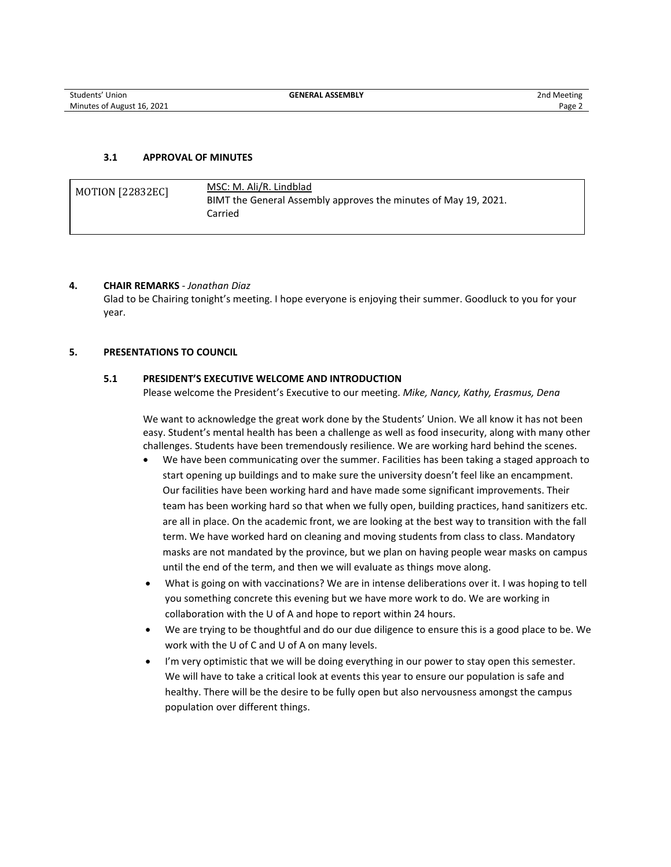### **3.1 APPROVAL OF MINUTES**

| <b>MOTION [22832EC]</b> | MSC: M. Ali/R. Lindblad<br>BIMT the General Assembly approves the minutes of May 19, 2021.<br>Carried |  |
|-------------------------|-------------------------------------------------------------------------------------------------------|--|
|-------------------------|-------------------------------------------------------------------------------------------------------|--|

#### **4. CHAIR REMARKS** *- Jonathan Diaz*

Glad to be Chairing tonight's meeting. I hope everyone is enjoying their summer. Goodluck to you for your year.

#### **5. PRESENTATIONS TO COUNCIL**

#### **5.1 PRESIDENT'S EXECUTIVE WELCOME AND INTRODUCTION**

Please welcome the President's Executive to our meeting. *Mike, Nancy, Kathy, Erasmus, Dena*

We want to acknowledge the great work done by the Students' Union. We all know it has not been easy. Student's mental health has been a challenge as well as food insecurity, along with many other challenges. Students have been tremendously resilience. We are working hard behind the scenes.

- We have been communicating over the summer. Facilities has been taking a staged approach to start opening up buildings and to make sure the university doesn't feel like an encampment. Our facilities have been working hard and have made some significant improvements. Their team has been working hard so that when we fully open, building practices, hand sanitizers etc. are all in place. On the academic front, we are looking at the best way to transition with the fall term. We have worked hard on cleaning and moving students from class to class. Mandatory masks are not mandated by the province, but we plan on having people wear masks on campus until the end of the term, and then we will evaluate as things move along.
- What is going on with vaccinations? We are in intense deliberations over it. I was hoping to tell you something concrete this evening but we have more work to do. We are working in collaboration with the U of A and hope to report within 24 hours.
- We are trying to be thoughtful and do our due diligence to ensure this is a good place to be. We work with the U of C and U of A on many levels.
- I'm very optimistic that we will be doing everything in our power to stay open this semester. We will have to take a critical look at events this year to ensure our population is safe and healthy. There will be the desire to be fully open but also nervousness amongst the campus population over different things.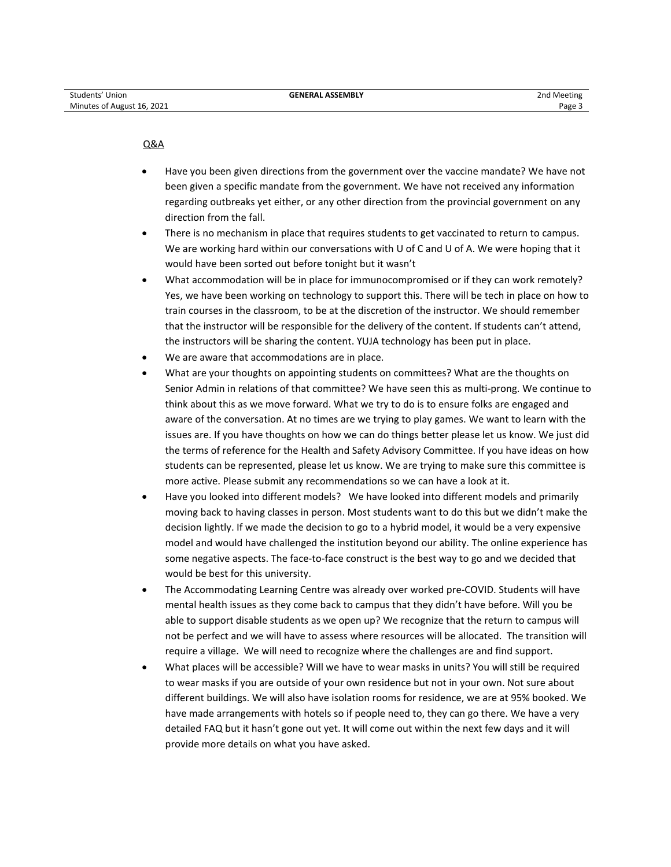#### Q&A

- Have you been given directions from the government over the vaccine mandate? We have not been given a specific mandate from the government. We have not received any information regarding outbreaks yet either, or any other direction from the provincial government on any direction from the fall.
- There is no mechanism in place that requires students to get vaccinated to return to campus. We are working hard within our conversations with U of C and U of A. We were hoping that it would have been sorted out before tonight but it wasn't
- What accommodation will be in place for immunocompromised or if they can work remotely? Yes, we have been working on technology to support this. There will be tech in place on how to train courses in the classroom, to be at the discretion of the instructor. We should remember that the instructor will be responsible for the delivery of the content. If students can't attend, the instructors will be sharing the content. YUJA technology has been put in place.
- We are aware that accommodations are in place.
- What are your thoughts on appointing students on committees? What are the thoughts on Senior Admin in relations of that committee? We have seen this as multi-prong. We continue to think about this as we move forward. What we try to do is to ensure folks are engaged and aware of the conversation. At no times are we trying to play games. We want to learn with the issues are. If you have thoughts on how we can do things better please let us know. We just did the terms of reference for the Health and Safety Advisory Committee. If you have ideas on how students can be represented, please let us know. We are trying to make sure this committee is more active. Please submit any recommendations so we can have a look at it.
- Have you looked into different models? We have looked into different models and primarily moving back to having classes in person. Most students want to do this but we didn't make the decision lightly. If we made the decision to go to a hybrid model, it would be a very expensive model and would have challenged the institution beyond our ability. The online experience has some negative aspects. The face-to-face construct is the best way to go and we decided that would be best for this university.
- The Accommodating Learning Centre was already over worked pre-COVID. Students will have mental health issues as they come back to campus that they didn't have before. Will you be able to support disable students as we open up? We recognize that the return to campus will not be perfect and we will have to assess where resources will be allocated. The transition will require a village. We will need to recognize where the challenges are and find support.
- What places will be accessible? Will we have to wear masks in units? You will still be required to wear masks if you are outside of your own residence but not in your own. Not sure about different buildings. We will also have isolation rooms for residence, we are at 95% booked. We have made arrangements with hotels so if people need to, they can go there. We have a very detailed FAQ but it hasn't gone out yet. It will come out within the next few days and it will provide more details on what you have asked.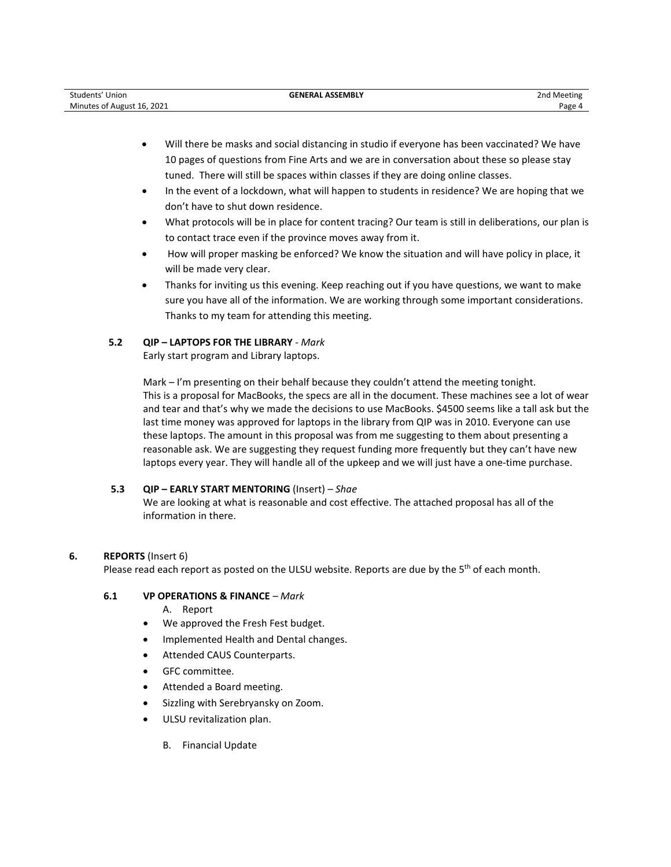| Students'<br>Union         | <b>_ASSEMBLY</b><br><b>GENERAL</b> | 2nd Meeting |
|----------------------------|------------------------------------|-------------|
| Minutes of August 16, 2021 |                                    | Page ∠      |

- Will there be masks and social distancing in studio if everyone has been vaccinated? We have 10 pages of questions from Fine Arts and we are in conversation about these so please stay tuned. There will still be spaces within classes if they are doing online classes.
- In the event of a lockdown, what will happen to students in residence? We are hoping that we don't have to shut down residence.
- What protocols will be in place for content tracing? Our team is still in deliberations, our plan is to contact trace even if the province moves away from it.
- How will proper masking be enforced? We know the situation and will have policy in place, it will be made very clear.
- Thanks for inviting us this evening. Keep reaching out if you have questions, we want to make sure you have all of the information. We are working through some important considerations. Thanks to my team for attending this meeting.

# **5.2 QIP – LAPTOPS FOR THE LIBRARY** *- Mark*

Early start program and Library laptops.

Mark – I'm presenting on their behalf because they couldn't attend the meeting tonight. This is a proposal for MacBooks, the specs are all in the document. These machines see a lot of wear and tear and that's why we made the decisions to use MacBooks. \$4500 seems like a tall ask but the last time money was approved for laptops in the library from QIP was in 2010. Everyone can use these laptops. The amount in this proposal was from me suggesting to them about presenting a reasonable ask. We are suggesting they request funding more frequently but they can't have new laptops every year. They will handle all of the upkeep and we will just have a one-time purchase.

# **5.3 QIP – EARLY START MENTORING** (Insert) *– Shae*

We are looking at what is reasonable and cost effective. The attached proposal has all of the information in there.

# **6. REPORTS** (Insert 6)

Please read each report as posted on the ULSU website. Reports are due by the  $5<sup>th</sup>$  of each month.

#### **6.1 VP OPERATIONS & FINANCE** *– Mark*

- A. Report
- We approved the Fresh Fest budget.
- Implemented Health and Dental changes.
- Attended CAUS Counterparts.
- GFC committee.
- Attended a Board meeting.
- Sizzling with Serebryansky on Zoom.
- ULSU revitalization plan.
	- B. Financial Update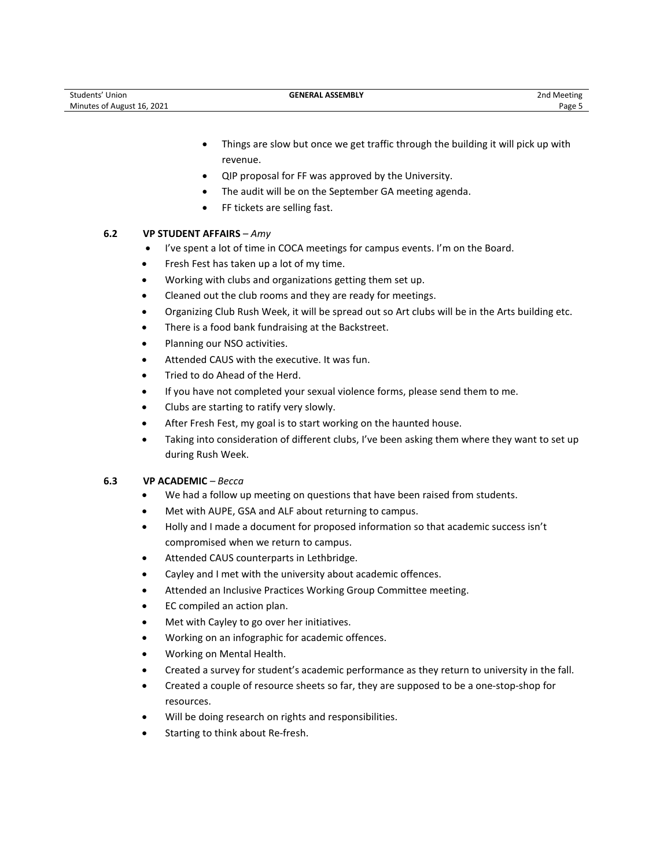- Things are slow but once we get traffic through the building it will pick up with revenue.
- QIP proposal for FF was approved by the University.
- The audit will be on the September GA meeting agenda.
- FF tickets are selling fast.

## **6.2 VP STUDENT AFFAIRS** *– Amy*

- I've spent a lot of time in COCA meetings for campus events. I'm on the Board.
- Fresh Fest has taken up a lot of my time.
- Working with clubs and organizations getting them set up.
- Cleaned out the club rooms and they are ready for meetings.
- Organizing Club Rush Week, it will be spread out so Art clubs will be in the Arts building etc.
- There is a food bank fundraising at the Backstreet.
- Planning our NSO activities.
- Attended CAUS with the executive. It was fun.
- Tried to do Ahead of the Herd.
- If you have not completed your sexual violence forms, please send them to me.
- Clubs are starting to ratify very slowly.
- After Fresh Fest, my goal is to start working on the haunted house.
- Taking into consideration of different clubs, I've been asking them where they want to set up during Rush Week.

#### **6.3 VP ACADEMIC** *– Becca*

- We had a follow up meeting on questions that have been raised from students.
- Met with AUPE, GSA and ALF about returning to campus.
- Holly and I made a document for proposed information so that academic success isn't compromised when we return to campus.
- Attended CAUS counterparts in Lethbridge.
- Cayley and I met with the university about academic offences.
- Attended an Inclusive Practices Working Group Committee meeting.
- EC compiled an action plan.
- Met with Cayley to go over her initiatives.
- Working on an infographic for academic offences.
- Working on Mental Health.
- Created a survey for student's academic performance as they return to university in the fall.
- Created a couple of resource sheets so far, they are supposed to be a one-stop-shop for resources.
- Will be doing research on rights and responsibilities.
- Starting to think about Re-fresh.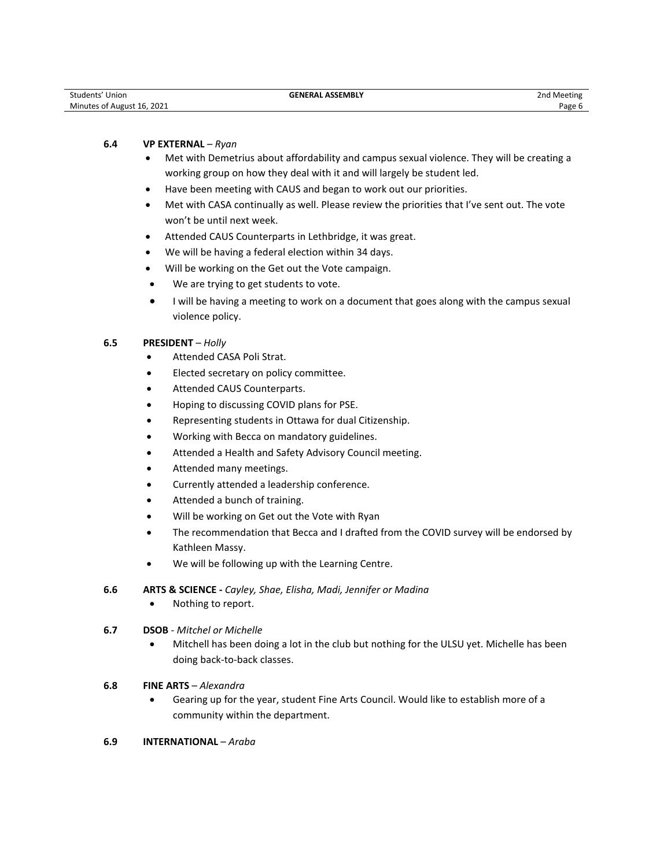| Students' Union            | <b>GENERAL ASSEMBLY</b> | 2nd Meeting |
|----------------------------|-------------------------|-------------|
| Minutes of August 16, 2021 |                         | Page 6      |

#### **6.4 VP EXTERNAL** *– Ryan*

- Met with Demetrius about affordability and campus sexual violence. They will be creating a working group on how they deal with it and will largely be student led.
- Have been meeting with CAUS and began to work out our priorities.
- Met with CASA continually as well. Please review the priorities that I've sent out. The vote won't be until next week.
- Attended CAUS Counterparts in Lethbridge, it was great.
- We will be having a federal election within 34 days.
- Will be working on the Get out the Vote campaign.
- We are trying to get students to vote.
- I will be having a meeting to work on a document that goes along with the campus sexual violence policy.

#### **6.5 PRESIDENT** *– Holly*

- Attended CASA Poli Strat.
- Elected secretary on policy committee.
- Attended CAUS Counterparts.
- Hoping to discussing COVID plans for PSE.
- Representing students in Ottawa for dual Citizenship.
- Working with Becca on mandatory guidelines.
- Attended a Health and Safety Advisory Council meeting.
- Attended many meetings.
- Currently attended a leadership conference.
- Attended a bunch of training.
- Will be working on Get out the Vote with Ryan
- The recommendation that Becca and I drafted from the COVID survey will be endorsed by Kathleen Massy.
- We will be following up with the Learning Centre.

## **6.6 ARTS & SCIENCE -** *Cayley, Shae, Elisha, Madi, Jennifer or Madina*

• Nothing to report.

#### **6.7 DSOB** - *Mitchel or Michelle*

• Mitchell has been doing a lot in the club but nothing for the ULSU yet. Michelle has been doing back-to-back classes.

# **6.8 FINE ARTS** – *Alexandra*

• Gearing up for the year, student Fine Arts Council. Would like to establish more of a community within the department.

## **6.9 INTERNATIONAL** – *Araba*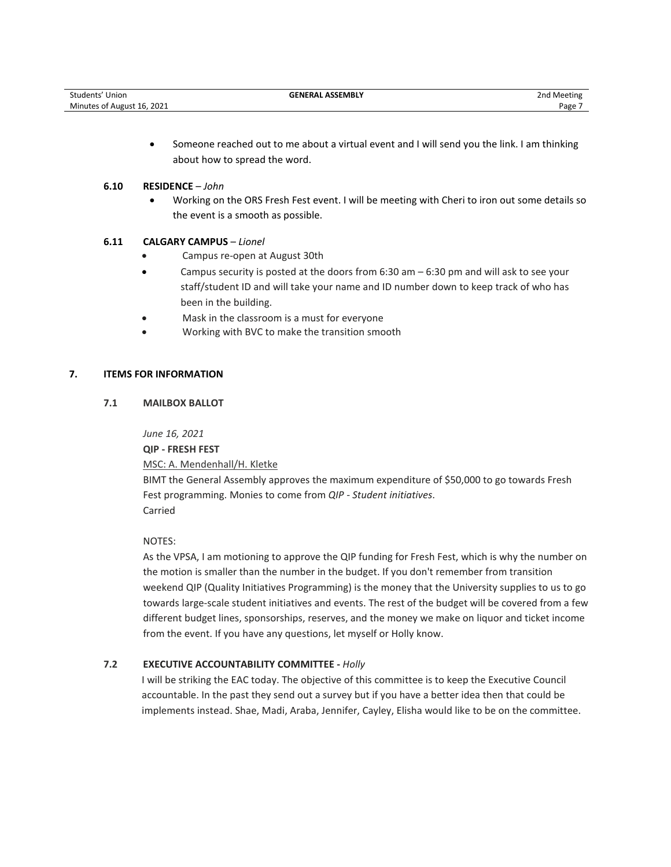| Students' Union            | <b>GENERAL ASSEMBLY</b> | 2nd Meeting |
|----------------------------|-------------------------|-------------|
| Minutes of August 16, 2021 |                         | Page        |

• Someone reached out to me about a virtual event and I will send you the link. I am thinking about how to spread the word.

#### **6.10 RESIDENCE** – *John*

• Working on the ORS Fresh Fest event. I will be meeting with Cheri to iron out some details so the event is a smooth as possible.

# **6.11 CALGARY CAMPUS** – *Lionel*

- Campus re-open at August 30th
- Campus security is posted at the doors from 6:30 am 6:30 pm and will ask to see your staff/student ID and will take your name and ID number down to keep track of who has been in the building.
- Mask in the classroom is a must for everyone
- Working with BVC to make the transition smooth

# **7. ITEMS FOR INFORMATION**

## **7.1 MAILBOX BALLOT**

*June 16, 2021*

**QIP - FRESH FEST**

MSC: A. Mendenhall/H. Kletke

BIMT the General Assembly approves the maximum expenditure of \$50,000 to go towards Fresh Fest programming. Monies to come from *QIP - Student initiatives*. Carried

# NOTES:

As the VPSA, I am motioning to approve the QIP funding for Fresh Fest, which is why the number on the motion is smaller than the number in the budget. If you don't remember from transition weekend QIP (Quality Initiatives Programming) is the money that the University supplies to us to go towards large-scale student initiatives and events. The rest of the budget will be covered from a few different budget lines, sponsorships, reserves, and the money we make on liquor and ticket income from the event. If you have any questions, let myself or Holly know.

# **7.2 EXECUTIVE ACCOUNTABILITY COMMITTEE -** *Holly*

I will be striking the EAC today. The objective of this committee is to keep the Executive Council accountable. In the past they send out a survey but if you have a better idea then that could be implements instead. Shae, Madi, Araba, Jennifer, Cayley, Elisha would like to be on the committee.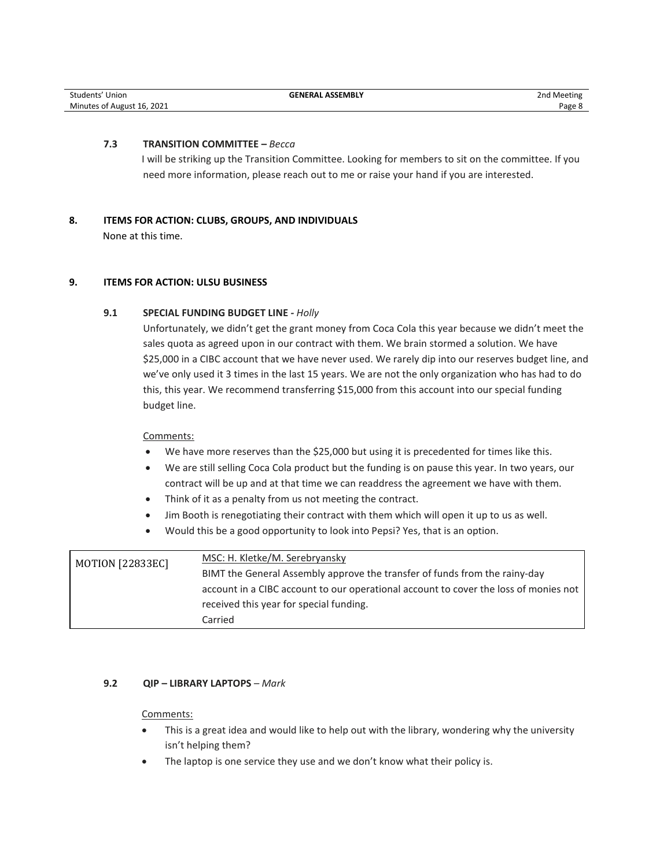## **7.3 TRANSITION COMMITTEE –** *Becca*

I will be striking up the Transition Committee. Looking for members to sit on the committee. If you need more information, please reach out to me or raise your hand if you are interested.

# **8. ITEMS FOR ACTION: CLUBS, GROUPS, AND INDIVIDUALS**

None at this time.

# **9. ITEMS FOR ACTION: ULSU BUSINESS**

# **9.1 SPECIAL FUNDING BUDGET LINE** *- Holly*

Unfortunately, we didn't get the grant money from Coca Cola this year because we didn't meet the sales quota as agreed upon in our contract with them. We brain stormed a solution. We have \$25,000 in a CIBC account that we have never used. We rarely dip into our reserves budget line, and we've only used it 3 times in the last 15 years. We are not the only organization who has had to do this, this year. We recommend transferring \$15,000 from this account into our special funding budget line.

# Comments:

- We have more reserves than the \$25,000 but using it is precedented for times like this.
- We are still selling Coca Cola product but the funding is on pause this year. In two years, our contract will be up and at that time we can readdress the agreement we have with them.
- Think of it as a penalty from us not meeting the contract.
- Jim Booth is renegotiating their contract with them which will open it up to us as well.
- Would this be a good opportunity to look into Pepsi? Yes, that is an option.

| <b>MOTION [22833EC]</b> | MSC: H. Kletke/M. Serebryansky                                                       |
|-------------------------|--------------------------------------------------------------------------------------|
|                         | BIMT the General Assembly approve the transfer of funds from the rainy-day           |
|                         | account in a CIBC account to our operational account to cover the loss of monies not |
|                         | received this year for special funding.                                              |
|                         | Carried                                                                              |

# **9.2 QIP – LIBRARY LAPTOPS** *– Mark*

## Comments:

- This is a great idea and would like to help out with the library, wondering why the university isn't helping them?
- The laptop is one service they use and we don't know what their policy is.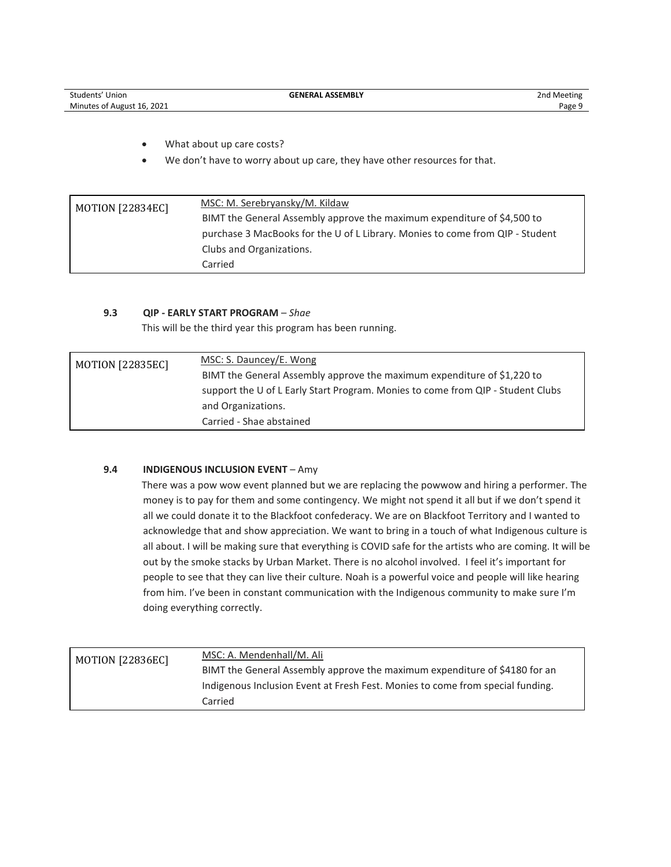| Students'<br>Union         | <b>GENERAL ASSEMBLY</b> | 2nd Meeting |
|----------------------------|-------------------------|-------------|
| Minutes of August 16, 2021 |                         | Page:       |

- What about up care costs?
- We don't have to worry about up care, they have other resources for that.

| <b>MOTION [22834EC]</b> | MSC: M. Serebryansky/M. Kildaw                                                |
|-------------------------|-------------------------------------------------------------------------------|
|                         | BIMT the General Assembly approve the maximum expenditure of \$4,500 to       |
|                         | purchase 3 MacBooks for the U of L Library. Monies to come from QIP - Student |
|                         | Clubs and Organizations.                                                      |
|                         | Carried                                                                       |

## **9.3 QIP - EARLY START PROGRAM** – *Shae*

This will be the third year this program has been running.

| <b>MOTION [22835EC]</b> | MSC: S. Dauncey/E. Wong                                                         |
|-------------------------|---------------------------------------------------------------------------------|
|                         | BIMT the General Assembly approve the maximum expenditure of \$1,220 to         |
|                         | support the U of L Early Start Program. Monies to come from QIP - Student Clubs |
|                         | and Organizations.                                                              |
|                         | Carried - Shae abstained                                                        |

# **9.4 INDIGENOUS INCLUSION EVENT** – Amy

There was a pow wow event planned but we are replacing the powwow and hiring a performer. The money is to pay for them and some contingency. We might not spend it all but if we don't spend it all we could donate it to the Blackfoot confederacy. We are on Blackfoot Territory and I wanted to acknowledge that and show appreciation. We want to bring in a touch of what Indigenous culture is all about. I will be making sure that everything is COVID safe for the artists who are coming. It will be out by the smoke stacks by Urban Market. There is no alcohol involved. I feel it's important for people to see that they can live their culture. Noah is a powerful voice and people will like hearing from him. I've been in constant communication with the Indigenous community to make sure I'm doing everything correctly.

| <b>MOTION [22836EC]</b> | MSC: A. Mendenhall/M. Ali                                                      |
|-------------------------|--------------------------------------------------------------------------------|
|                         | BIMT the General Assembly approve the maximum expenditure of \$4180 for an     |
|                         | Indigenous Inclusion Event at Fresh Fest. Monies to come from special funding. |
|                         | Carried                                                                        |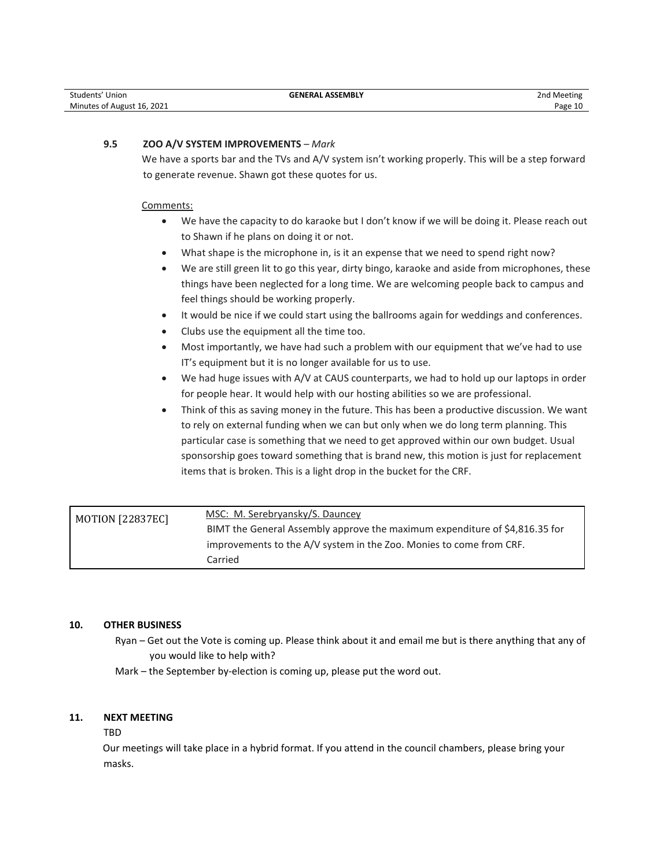| Students' Union            | <b>GENERAL ASSEMBLY</b> | 2nd Meeting |
|----------------------------|-------------------------|-------------|
| Minutes of August 16, 2021 |                         | Page 10     |

## **9.5 ZOO A/V SYSTEM IMPROVEMENTS** *– Mark*

We have a sports bar and the TVs and A/V system isn't working properly. This will be a step forward to generate revenue. Shawn got these quotes for us.

#### Comments:

- We have the capacity to do karaoke but I don't know if we will be doing it. Please reach out to Shawn if he plans on doing it or not.
- What shape is the microphone in, is it an expense that we need to spend right now?
- We are still green lit to go this year, dirty bingo, karaoke and aside from microphones, these things have been neglected for a long time. We are welcoming people back to campus and feel things should be working properly.
- It would be nice if we could start using the ballrooms again for weddings and conferences.
- Clubs use the equipment all the time too.
- Most importantly, we have had such a problem with our equipment that we've had to use IT's equipment but it is no longer available for us to use.
- We had huge issues with A/V at CAUS counterparts, we had to hold up our laptops in order for people hear. It would help with our hosting abilities so we are professional.
- Think of this as saving money in the future. This has been a productive discussion. We want to rely on external funding when we can but only when we do long term planning. This particular case is something that we need to get approved within our own budget. Usual sponsorship goes toward something that is brand new, this motion is just for replacement items that is broken. This is a light drop in the bucket for the CRF.

| MOTION [22837EC] | MSC: M. Serebryansky/S. Dauncey                                             |
|------------------|-----------------------------------------------------------------------------|
|                  | BIMT the General Assembly approve the maximum expenditure of \$4,816.35 for |
|                  | improvements to the A/V system in the Zoo. Monies to come from CRF.         |
|                  | Carried                                                                     |

#### **10. OTHER BUSINESS**

Ryan – Get out the Vote is coming up. Please think about it and email me but is there anything that any of you would like to help with?

Mark – the September by-election is coming up, please put the word out.

#### **11. NEXT MEETING**

#### TBD

Our meetings will take place in a hybrid format. If you attend in the council chambers, please bring your masks.